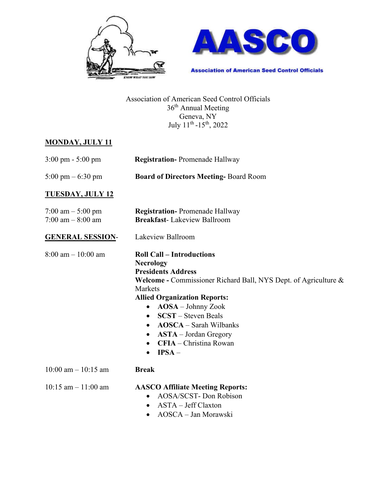



**Association of American Seed Control Officials** 

Association of American Seed Control Officials 36<sup>th</sup> Annual Meeting Geneva, NY July 11th -15th, 2022

#### **MONDAY, JULY 11**

| $3:00 \text{ pm} - 5:00 \text{ pm}$       | <b>Registration-Promenade Hallway</b>                                                                                                                                                                                                                                                                                                                                                                                                   |
|-------------------------------------------|-----------------------------------------------------------------------------------------------------------------------------------------------------------------------------------------------------------------------------------------------------------------------------------------------------------------------------------------------------------------------------------------------------------------------------------------|
| 5:00 pm $-6:30$ pm                        | <b>Board of Directors Meeting-Board Room</b>                                                                                                                                                                                                                                                                                                                                                                                            |
| <b>TUESDAY, JULY 12</b>                   |                                                                                                                                                                                                                                                                                                                                                                                                                                         |
| 7:00 am $-$ 5:00 pm<br>7:00 am $-8:00$ am | <b>Registration-Promenade Hallway</b><br><b>Breakfast-Lakeview Ballroom</b>                                                                                                                                                                                                                                                                                                                                                             |
| <b>GENERAL SESSION-</b>                   | Lakeview Ballroom                                                                                                                                                                                                                                                                                                                                                                                                                       |
| $8:00 \text{ am} - 10:00 \text{ am}$      | <b>Roll Call - Introductions</b><br><b>Necrology</b><br><b>Presidents Address</b><br><b>Welcome - Commissioner Richard Ball, NYS Dept. of Agriculture &amp;</b><br>Markets<br><b>Allied Organization Reports:</b><br>AOSA - Johnny Zook<br>$\bullet$<br><b>SCST</b> – Steven Beals<br>$\bullet$<br><b>AOSCA</b> – Sarah Wilbanks<br>$\bullet$<br>$ASTA - Jordan Gregory$<br>$\bullet$<br>CFIA - Christina Rowan<br>$IPSA-$<br>$\bullet$ |
| $10:00$ am $- 10:15$ am                   | <b>Break</b>                                                                                                                                                                                                                                                                                                                                                                                                                            |
| $10:15$ am $-11:00$ am                    | <b>AASCO Affiliate Meeting Reports:</b><br>AOSA/SCST- Don Robison<br>$\bullet$<br>ASTA - Jeff Claxton<br>$\bullet$<br>AOSCA - Jan Morawski<br>$\bullet$                                                                                                                                                                                                                                                                                 |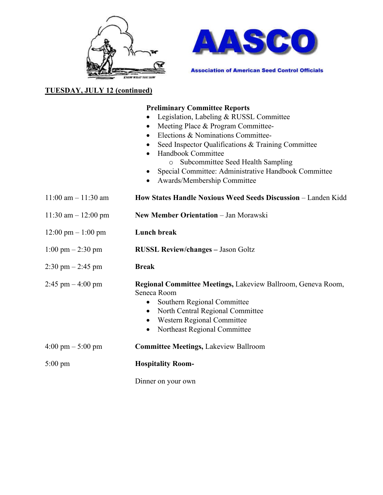



**Association of American Seed Control Officials** 

## **TUESDAY, JULY 12 (continued)**

#### **Preliminary Committee Reports**

- Legislation, Labeling & RUSSL Committee
- Meeting Place & Program Committee-
- Elections & Nominations Committee-
- Seed Inspector Qualifications & Training Committee
- Handbook Committee o Subcommittee Seed Health Sampling
	- Special Committee: Administrative Handbook Committee
	- Awards/Membership Committee
- 11:00 am 11:30 am **How States Handle Noxious Weed Seeds Discussion**  Landen Kidd
- 11:30 am 12:00 pm **New Member Orientation**  Jan Morawski
- 12:00 pm 1:00 pm **Lunch break**
- 1:00 pm 2:30 pm **RUSSL Review/changes** Jason Goltz
- 2:30 pm 2:45 pm **Break**
- 2:45 pm 4:00 pm **Regional Committee Meetings,** Lakeview Ballroom, Geneva Room, Seneca Room
	- Southern Regional Committee
	- North Central Regional Committee
	- Western Regional Committee
	- Northeast Regional Committee

# 4:00 pm – 5:00 pm **Committee Meetings,** Lakeview Ballroom

5:00 pm **Hospitality Room-** 

Dinner on your own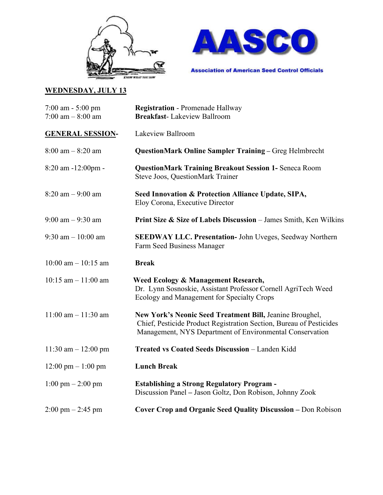



# **WEDNESDAY, JULY 13**

| $7:00$ am $-5:00$ pm<br>7:00 am $-$ 8:00 am | <b>Registration - Promenade Hallway</b><br><b>Breakfast-Lakeview Ballroom</b>                                                                                                               |
|---------------------------------------------|---------------------------------------------------------------------------------------------------------------------------------------------------------------------------------------------|
| <b>GENERAL SESSION-</b>                     | Lakeview Ballroom                                                                                                                                                                           |
| $8:00$ am $-8:20$ am                        | <b>QuestionMark Online Sampler Training - Greg Helmbrecht</b>                                                                                                                               |
| 8:20 am -12:00pm -                          | <b>QuestionMark Training Breakout Session 1- Seneca Room</b><br><b>Steve Joos, QuestionMark Trainer</b>                                                                                     |
| $8:20$ am $-9:00$ am                        | Seed Innovation & Protection Alliance Update, SIPA,<br>Eloy Corona, Executive Director                                                                                                      |
| $9:00$ am $-9:30$ am                        | <b>Print Size &amp; Size of Labels Discussion</b> – James Smith, Ken Wilkins                                                                                                                |
| 9:30 am $-10:00$ am                         | <b>SEEDWAY LLC. Presentation-</b> John Uveges, Seedway Northern<br>Farm Seed Business Manager                                                                                               |
| $10:00$ am $- 10:15$ am                     | <b>Break</b>                                                                                                                                                                                |
| $10:15$ am $-11:00$ am                      | Weed Ecology & Management Research,<br>Dr. Lynn Sosnoskie, Assistant Professor Cornell AgriTech Weed<br>Ecology and Management for Specialty Crops                                          |
| $11:00$ am $-11:30$ am                      | New York's Neonic Seed Treatment Bill, Jeanine Broughel,<br>Chief, Pesticide Product Registration Section, Bureau of Pesticides<br>Management, NYS Department of Environmental Conservation |
| 11:30 am $- 12:00$ pm                       | Treated vs Coated Seeds Discussion - Landen Kidd                                                                                                                                            |
| $12:00 \text{ pm} - 1:00 \text{ pm}$        | <b>Lunch Break</b>                                                                                                                                                                          |
| $1:00 \text{ pm} - 2:00 \text{ pm}$         | <b>Establishing a Strong Regulatory Program -</b><br>Discussion Panel - Jason Goltz, Don Robison, Johnny Zook                                                                               |
| $2:00 \text{ pm} - 2:45 \text{ pm}$         | <b>Cover Crop and Organic Seed Quality Discussion - Don Robison</b>                                                                                                                         |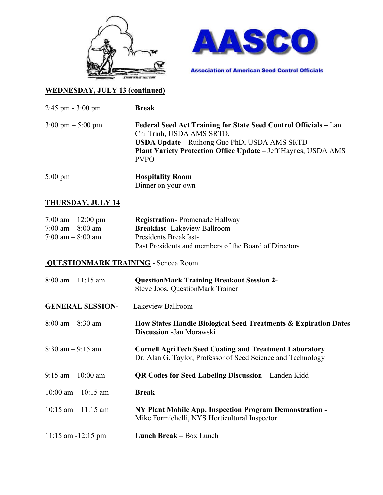



## **WEDNESDAY, JULY 13 (continued)**

2:45 pm - 3:00 pm **Break**

| $3:00 \text{ pm} - 5:00 \text{ pm}$ | Federal Seed Act Training for State Seed Control Officials – Lan<br>Chi Trinh, USDA AMS SRTD,<br><b>USDA Update</b> – Ruihong Guo PhD, USDA AMS SRTD<br><b>Plant Variety Protection Office Update – Jeff Haynes, USDA AMS</b><br><b>PVPO</b> |
|-------------------------------------|----------------------------------------------------------------------------------------------------------------------------------------------------------------------------------------------------------------------------------------------|
|                                     |                                                                                                                                                                                                                                              |
|                                     |                                                                                                                                                                                                                                              |

5:00 pm **Hospitality Room** Dinner on your own

## **THURSDAY, JULY 14**

| 7:00 am $-12:00$ pm                 | <b>Registration-Promenade Hallway</b>                 |
|-------------------------------------|-------------------------------------------------------|
| $7:00 \text{ am} - 8:00 \text{ am}$ | <b>Breakfast-Lakeview Ballroom</b>                    |
| $7:00 \text{ am} - 8:00 \text{ am}$ | Presidents Breakfast-                                 |
|                                     | Past Presidents and members of the Board of Directors |

#### **QUESTIONMARK TRAINING** - Seneca Room

| $8:00$ am $-11:15$ am   | <b>QuestionMark Training Breakout Session 2-</b><br>Steve Joos, QuestionMark Trainer                                          |  |
|-------------------------|-------------------------------------------------------------------------------------------------------------------------------|--|
| <b>GENERAL SESSION-</b> | Lakeview Ballroom                                                                                                             |  |
| $8:00$ am $-8:30$ am    | How States Handle Biological Seed Treatments & Expiration Dates<br><b>Discussion</b> - Jan Morawski                           |  |
| $8:30$ am $-9:15$ am    | <b>Cornell AgriTech Seed Coating and Treatment Laboratory</b><br>Dr. Alan G. Taylor, Professor of Seed Science and Technology |  |
| $9:15$ am $-10:00$ am   | <b>QR Codes for Seed Labeling Discussion</b> – Landen Kidd                                                                    |  |
| $10:00$ am $-10:15$ am  | <b>Break</b>                                                                                                                  |  |
| $10:15$ am $-11:15$ am  | NY Plant Mobile App. Inspection Program Demonstration -<br>Mike Formichelli, NYS Horticultural Inspector                      |  |
| $11:15$ am $-12:15$ pm  | Lunch Break - Box Lunch                                                                                                       |  |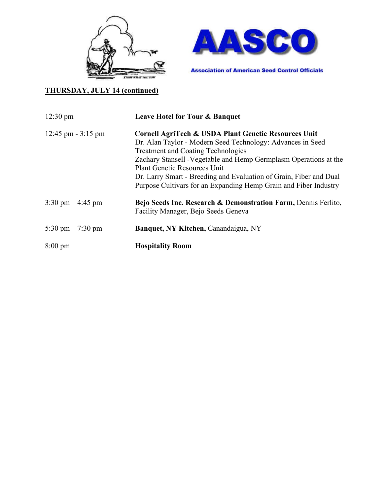



## **THURSDAY, JULY 14 (continued)**

| $12:30 \text{ pm}$                   | Leave Hotel for Tour & Banquet                                                                                   |
|--------------------------------------|------------------------------------------------------------------------------------------------------------------|
| $12:45 \text{ pm} - 3:15 \text{ pm}$ | Cornell AgriTech & USDA Plant Genetic Resources Unit                                                             |
|                                      | Dr. Alan Taylor - Modern Seed Technology: Advances in Seed                                                       |
|                                      | <b>Treatment and Coating Technologies</b>                                                                        |
|                                      | Zachary Stansell - Vegetable and Hemp Germplasm Operations at the                                                |
|                                      | <b>Plant Genetic Resources Unit</b>                                                                              |
|                                      | Dr. Larry Smart - Breeding and Evaluation of Grain, Fiber and Dual                                               |
|                                      | Purpose Cultivars for an Expanding Hemp Grain and Fiber Industry                                                 |
| $3:30 \text{ pm} - 4:45 \text{ pm}$  | <b>Bejo Seeds Inc. Research &amp; Demonstration Farm, Dennis Ferlito,</b><br>Facility Manager, Bejo Seeds Geneva |
| 5:30 pm $-7:30$ pm                   | <b>Banquet, NY Kitchen, Canandaigua, NY</b>                                                                      |
| $8:00 \text{ pm}$                    | <b>Hospitality Room</b>                                                                                          |